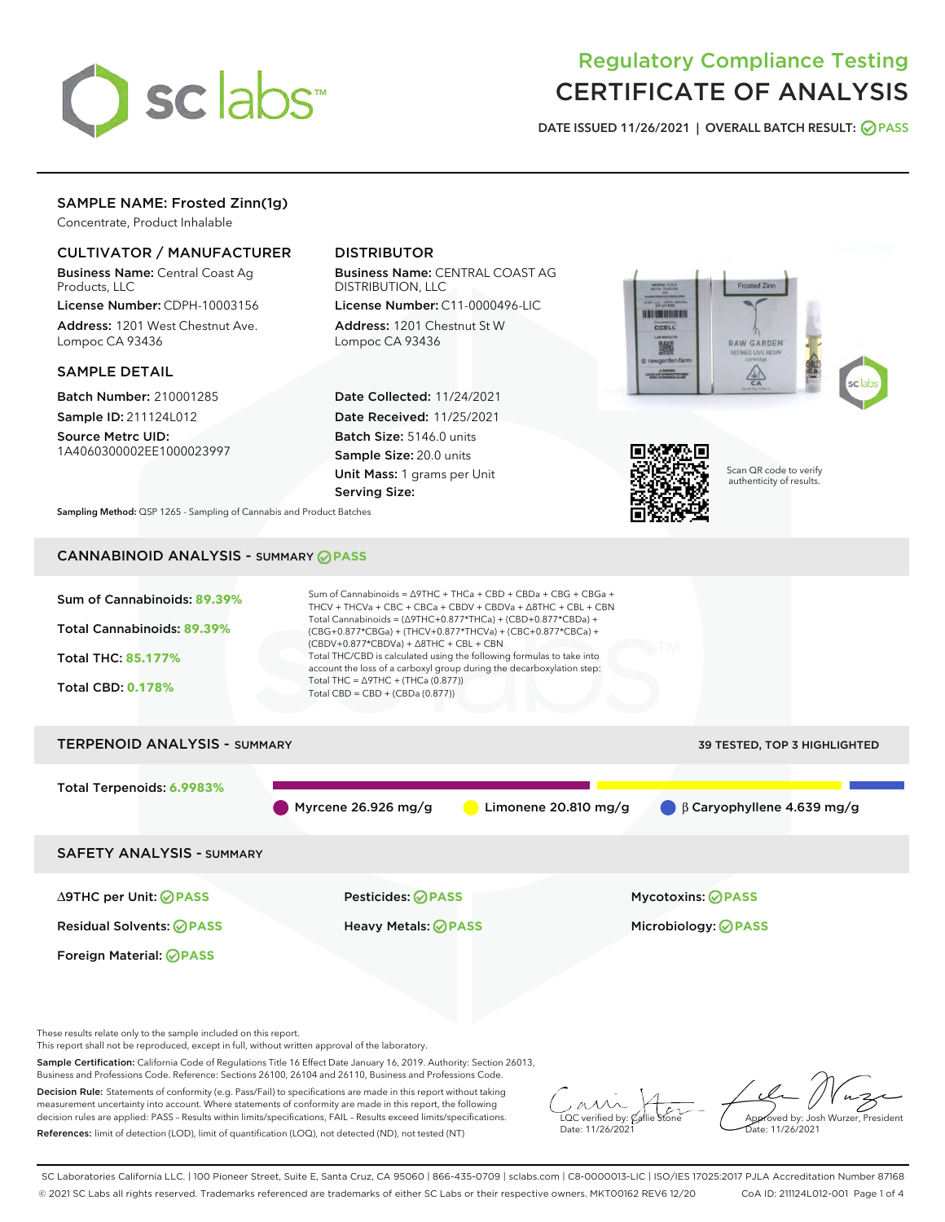

# Regulatory Compliance Testing CERTIFICATE OF ANALYSIS

DATE ISSUED 11/26/2021 | OVERALL BATCH RESULT: @ PASS

# SAMPLE NAME: Frosted Zinn(1g)

Concentrate, Product Inhalable

# CULTIVATOR / MANUFACTURER

Business Name: Central Coast Ag Products, LLC

License Number: CDPH-10003156 Address: 1201 West Chestnut Ave. Lompoc CA 93436

#### SAMPLE DETAIL

Batch Number: 210001285 Sample ID: 211124L012

Source Metrc UID:

1A4060300002EE1000023997

# DISTRIBUTOR

Business Name: CENTRAL COAST AG DISTRIBUTION, LLC

License Number: C11-0000496-LIC Address: 1201 Chestnut St W Lompoc CA 93436

Date Collected: 11/24/2021 Date Received: 11/25/2021 Batch Size: 5146.0 units Sample Size: 20.0 units Unit Mass: 1 grams per Unit Serving Size:





Scan QR code to verify authenticity of results.

Sampling Method: QSP 1265 - Sampling of Cannabis and Product Batches

# CANNABINOID ANALYSIS - SUMMARY **PASS**



This report shall not be reproduced, except in full, without written approval of the laboratory.

Sample Certification: California Code of Regulations Title 16 Effect Date January 16, 2019. Authority: Section 26013, Business and Professions Code. Reference: Sections 26100, 26104 and 26110, Business and Professions Code.

Decision Rule: Statements of conformity (e.g. Pass/Fail) to specifications are made in this report without taking measurement uncertainty into account. Where statements of conformity are made in this report, the following decision rules are applied: PASS – Results within limits/specifications, FAIL – Results exceed limits/specifications. References: limit of detection (LOD), limit of quantification (LOQ), not detected (ND), not tested (NT)

 $\overline{\text{LOC}}$  verified by:  $\mathcal C$ Date: 11/26/202<sup>1</sup>

Approved by: Josh Wurzer, President ate: 11/26/2021

SC Laboratories California LLC. | 100 Pioneer Street, Suite E, Santa Cruz, CA 95060 | 866-435-0709 | sclabs.com | C8-0000013-LIC | ISO/IES 17025:2017 PJLA Accreditation Number 87168 © 2021 SC Labs all rights reserved. Trademarks referenced are trademarks of either SC Labs or their respective owners. MKT00162 REV6 12/20 CoA ID: 211124L012-001 Page 1 of 4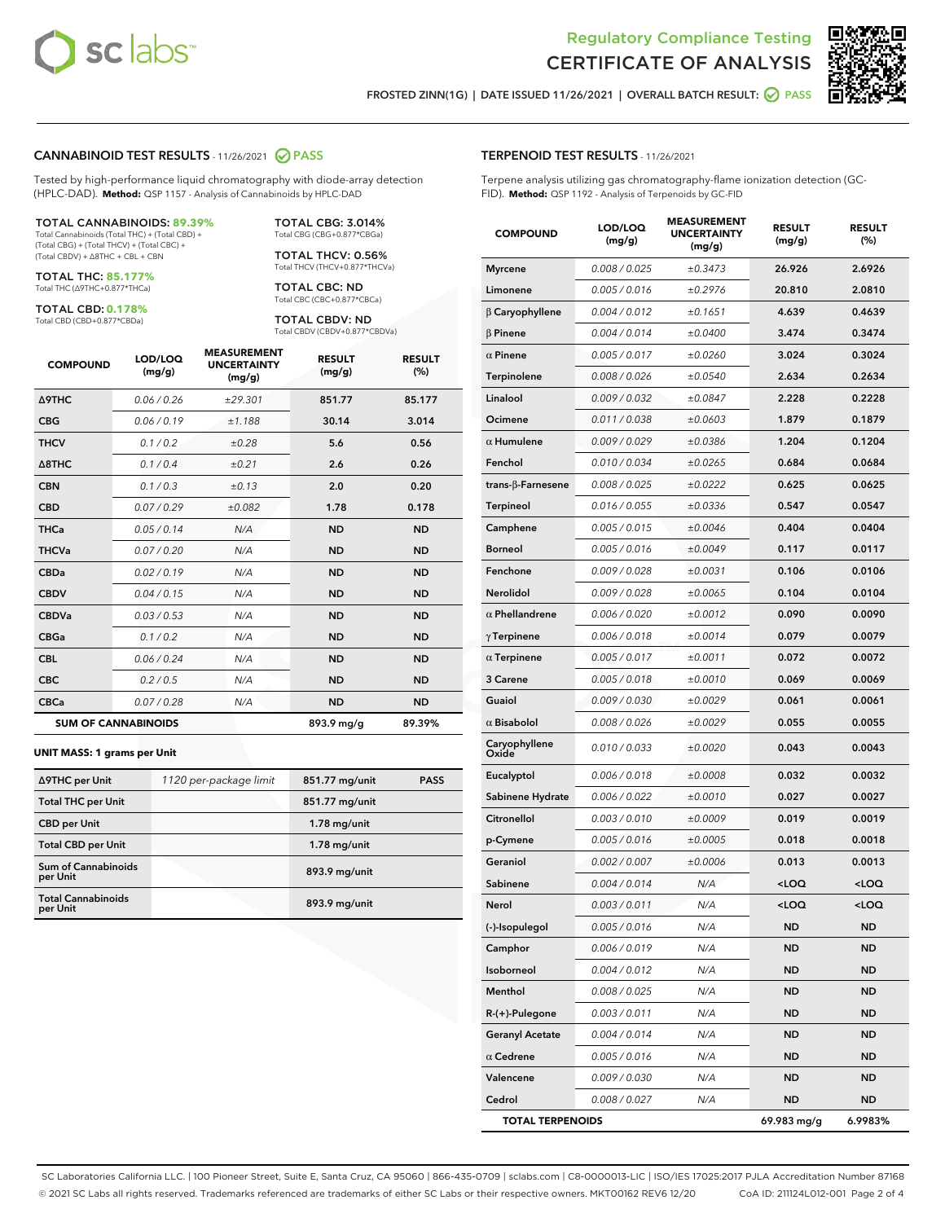



FROSTED ZINN(1G) | DATE ISSUED 11/26/2021 | OVERALL BATCH RESULT:  $\bigcirc$  PASS

#### CANNABINOID TEST RESULTS - 11/26/2021 2 PASS

Tested by high-performance liquid chromatography with diode-array detection (HPLC-DAD). **Method:** QSP 1157 - Analysis of Cannabinoids by HPLC-DAD

#### TOTAL CANNABINOIDS: **89.39%**

Total Cannabinoids (Total THC) + (Total CBD) + (Total CBG) + (Total THCV) + (Total CBC) + (Total CBDV) + ∆8THC + CBL + CBN

TOTAL THC: **85.177%** Total THC (∆9THC+0.877\*THCa)

TOTAL CBD: **0.178%**

Total CBD (CBD+0.877\*CBDa)

TOTAL CBG: 3.014% Total CBG (CBG+0.877\*CBGa)

TOTAL THCV: 0.56% Total THCV (THCV+0.877\*THCVa)

TOTAL CBC: ND Total CBC (CBC+0.877\*CBCa)

TOTAL CBDV: ND Total CBDV (CBDV+0.877\*CBDVa)

| <b>COMPOUND</b>            | LOD/LOQ<br>(mg/g) | <b>MEASUREMENT</b><br><b>UNCERTAINTY</b><br>(mg/g) | <b>RESULT</b><br>(mg/g) | <b>RESULT</b><br>(%) |
|----------------------------|-------------------|----------------------------------------------------|-------------------------|----------------------|
| <b>A9THC</b>               | 0.06 / 0.26       | ±29.301                                            | 851.77                  | 85.177               |
| <b>CBG</b>                 | 0.06/0.19         | ±1.188                                             | 30.14                   | 3.014                |
| <b>THCV</b>                | 0.1 / 0.2         | ±0.28                                              | 5.6                     | 0.56                 |
| $\triangle$ 8THC           | 0.1/0.4           | ±0.21                                              | 2.6                     | 0.26                 |
| <b>CBN</b>                 | 0.1/0.3           | ±0.13                                              | 2.0                     | 0.20                 |
| <b>CBD</b>                 | 0.07/0.29         | ±0.082                                             | 1.78                    | 0.178                |
| <b>THCa</b>                | 0.05/0.14         | N/A                                                | <b>ND</b>               | <b>ND</b>            |
| <b>THCVa</b>               | 0.07/0.20         | N/A                                                | <b>ND</b>               | <b>ND</b>            |
| <b>CBDa</b>                | 0.02/0.19         | N/A                                                | <b>ND</b>               | <b>ND</b>            |
| <b>CBDV</b>                | 0.04 / 0.15       | N/A                                                | <b>ND</b>               | <b>ND</b>            |
| <b>CBDVa</b>               | 0.03/0.53         | N/A                                                | <b>ND</b>               | <b>ND</b>            |
| <b>CBGa</b>                | 0.1/0.2           | N/A                                                | <b>ND</b>               | <b>ND</b>            |
| <b>CBL</b>                 | 0.06 / 0.24       | N/A                                                | <b>ND</b>               | <b>ND</b>            |
| <b>CBC</b>                 | 0.2 / 0.5         | N/A                                                | <b>ND</b>               | <b>ND</b>            |
| <b>CBCa</b>                | 0.07/0.28         | N/A                                                | <b>ND</b>               | <b>ND</b>            |
| <b>SUM OF CANNABINOIDS</b> |                   |                                                    | 893.9 mg/g              | 89.39%               |

#### **UNIT MASS: 1 grams per Unit**

| ∆9THC per Unit                         | 1120 per-package limit | 851.77 mg/unit | <b>PASS</b> |
|----------------------------------------|------------------------|----------------|-------------|
| <b>Total THC per Unit</b>              |                        | 851.77 mg/unit |             |
| <b>CBD</b> per Unit                    |                        | $1.78$ mg/unit |             |
| <b>Total CBD per Unit</b>              |                        | $1.78$ mg/unit |             |
| <b>Sum of Cannabinoids</b><br>per Unit |                        | 893.9 mg/unit  |             |
| <b>Total Cannabinoids</b><br>per Unit  |                        | 893.9 mg/unit  |             |

| <b>COMPOUND</b>           | LOD/LOQ<br>(mg/g) | .ASUREIVI<br><b>UNCERTAINTY</b><br>(mg/g) | <b>RESULT</b><br>(mg/g)                         | <b>RESULT</b><br>$(\%)$ |
|---------------------------|-------------------|-------------------------------------------|-------------------------------------------------|-------------------------|
| <b>Myrcene</b>            | 0.008 / 0.025     | ±0.3473                                   | 26.926                                          | 2.6926                  |
| Limonene                  | 0.005 / 0.016     | ±0.2976                                   | 20.810                                          | 2.0810                  |
| $\beta$ Caryophyllene     | 0.004 / 0.012     | ±0.1651                                   | 4.639                                           | 0.4639                  |
| $\beta$ Pinene            | 0.004 / 0.014     | ±0.0400                                   | 3.474                                           | 0.3474                  |
| $\alpha$ Pinene           | 0.005 / 0.017     | ±0.0260                                   | 3.024                                           | 0.3024                  |
| Terpinolene               | 0.008 / 0.026     | ±0.0540                                   | 2.634                                           | 0.2634                  |
| Linalool                  | 0.009 / 0.032     | ±0.0847                                   | 2.228                                           | 0.2228                  |
| Ocimene                   | 0.011 / 0.038     | ±0.0603                                   | 1.879                                           | 0.1879                  |
| $\alpha$ Humulene         | 0.009 / 0.029     | ±0.0386                                   | 1.204                                           | 0.1204                  |
| Fenchol                   | 0.010 / 0.034     | ±0.0265                                   | 0.684                                           | 0.0684                  |
| trans- $\beta$ -Farnesene | 0.008 / 0.025     | ±0.0222                                   | 0.625                                           | 0.0625                  |
| <b>Terpineol</b>          | 0.016 / 0.055     | ±0.0336                                   | 0.547                                           | 0.0547                  |
| Camphene                  | 0.005 / 0.015     | ±0.0046                                   | 0.404                                           | 0.0404                  |
| <b>Borneol</b>            | 0.005 / 0.016     | ±0.0049                                   | 0.117                                           | 0.0117                  |
| Fenchone                  | 0.009 / 0.028     | ±0.0031                                   | 0.106                                           | 0.0106                  |
| Nerolidol                 | 0.009 / 0.028     | ±0.0065                                   | 0.104                                           | 0.0104                  |
| $\alpha$ Phellandrene     | 0.006 / 0.020     | ±0.0012                                   | 0.090                                           | 0.0090                  |
| $\gamma$ Terpinene        | 0.006 / 0.018     | ±0.0014                                   | 0.079                                           | 0.0079                  |
| $\alpha$ Terpinene        | 0.005 / 0.017     | ±0.0011                                   | 0.072                                           | 0.0072                  |
| 3 Carene                  | 0.005 / 0.018     | ±0.0010                                   | 0.069                                           | 0.0069                  |
| Guaiol                    | 0.009 / 0.030     | ±0.0029                                   | 0.061                                           | 0.0061                  |
| $\alpha$ Bisabolol        | 0.008 / 0.026     | ±0.0029                                   | 0.055                                           | 0.0055                  |
| Caryophyllene<br>Oxide    | 0.010 / 0.033     | ±0.0020                                   | 0.043                                           | 0.0043                  |
| Eucalyptol                | 0.006 / 0.018     | ±0.0008                                   | 0.032                                           | 0.0032                  |
| Sabinene Hydrate          | 0.006 / 0.022     | ±0.0010                                   | 0.027                                           | 0.0027                  |
| Citronellol               | 0.003 / 0.010     | ±0.0009                                   | 0.019                                           | 0.0019                  |
| p-Cymene                  | 0.005 / 0.016     | ±0.0005                                   | 0.018                                           | 0.0018                  |
| Geraniol                  | 0.002 / 0.007     | ±0.0006                                   | 0.013                                           | 0.0013                  |
| Sabinene                  | 0.004 / 0.014     | N/A                                       | <loq< th=""><th><loq< th=""></loq<></th></loq<> | <loq< th=""></loq<>     |
| Nerol                     | 0.003 / 0.011     | N/A                                       | <loq< th=""><th><loq< th=""></loq<></th></loq<> | <loq< th=""></loq<>     |
| (-)-Isopulegol            | 0.005 / 0.016     | N/A                                       | ND                                              | ND                      |
| Camphor                   | 0.006 / 0.019     | N/A                                       | ND                                              | ND                      |
| Isoborneol                | 0.004 / 0.012     | N/A                                       | ND                                              | ND                      |
| Menthol                   | 0.008 / 0.025     | N/A                                       | ND                                              | ND                      |
| $R-(+)$ -Pulegone         | 0.003 / 0.011     | N/A                                       | ND                                              | ND                      |
| <b>Geranyl Acetate</b>    | 0.004 / 0.014     | N/A                                       | ND                                              | ND                      |
| $\alpha$ Cedrene          | 0.005 / 0.016     | N/A                                       | <b>ND</b>                                       | ND                      |
| Valencene                 | 0.009 / 0.030     | N/A                                       | ND                                              | ND                      |
| Cedrol                    | 0.008 / 0.027     | N/A                                       | <b>ND</b>                                       | ND                      |
| <b>TOTAL TERPENOIDS</b>   |                   |                                           | 69.983 mg/g                                     | 6.9983%                 |

SC Laboratories California LLC. | 100 Pioneer Street, Suite E, Santa Cruz, CA 95060 | 866-435-0709 | sclabs.com | C8-0000013-LIC | ISO/IES 17025:2017 PJLA Accreditation Number 87168 © 2021 SC Labs all rights reserved. Trademarks referenced are trademarks of either SC Labs or their respective owners. MKT00162 REV6 12/20 CoA ID: 211124L012-001 Page 2 of 4

# TERPENOID TEST RESULTS - 11/26/2021

Terpene analysis utilizing gas chromatography-flame ionization detection (GC-FID). **Method:** QSP 1192 - Analysis of Terpenoids by GC-FID

MEACUREMENT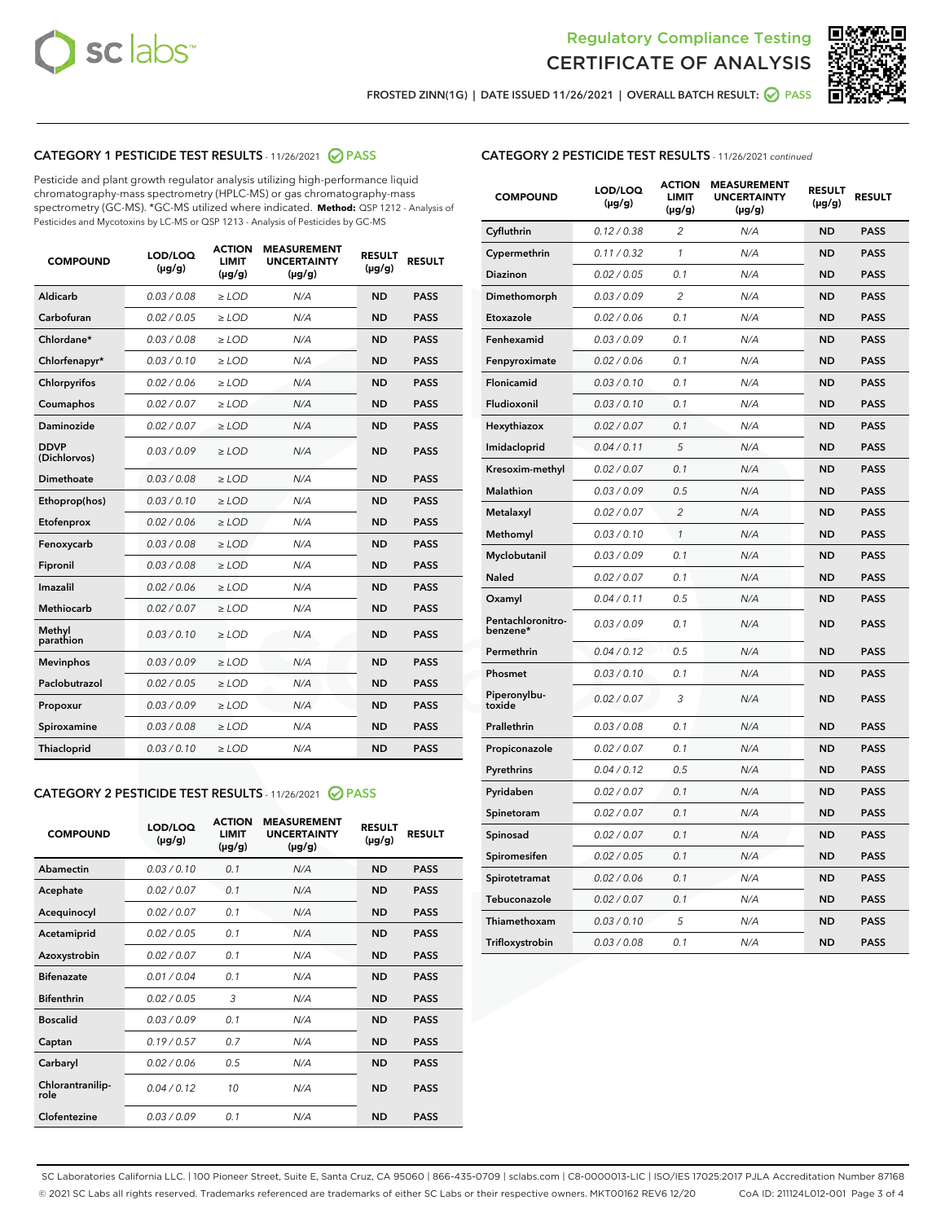



FROSTED ZINN(1G) | DATE ISSUED 11/26/2021 | OVERALL BATCH RESULT:  $\bigcirc$  PASS

# CATEGORY 1 PESTICIDE TEST RESULTS - 11/26/2021 2 PASS

Pesticide and plant growth regulator analysis utilizing high-performance liquid chromatography-mass spectrometry (HPLC-MS) or gas chromatography-mass spectrometry (GC-MS). \*GC-MS utilized where indicated. **Method:** QSP 1212 - Analysis of Pesticides and Mycotoxins by LC-MS or QSP 1213 - Analysis of Pesticides by GC-MS

| <b>Aldicarb</b><br>0.03 / 0.08<br><b>ND</b><br>$\ge$ LOD<br>N/A<br><b>PASS</b><br>Carbofuran<br>0.02/0.05<br>$\ge$ LOD<br>N/A<br><b>ND</b><br><b>PASS</b><br>Chlordane*<br>0.03 / 0.08<br><b>ND</b><br>$>$ LOD<br>N/A<br><b>PASS</b><br>0.03/0.10<br><b>ND</b><br><b>PASS</b><br>Chlorfenapyr*<br>$\ge$ LOD<br>N/A<br>0.02 / 0.06<br>N/A<br><b>ND</b><br><b>PASS</b><br>Chlorpyrifos<br>$\ge$ LOD<br>0.02 / 0.07<br>N/A<br><b>ND</b><br><b>PASS</b><br>Coumaphos<br>$>$ LOD<br>Daminozide<br>0.02 / 0.07<br>$\ge$ LOD<br>N/A<br><b>ND</b><br><b>PASS</b><br><b>DDVP</b><br>0.03/0.09<br>$\ge$ LOD<br>N/A<br><b>ND</b><br><b>PASS</b><br>(Dichlorvos)<br>Dimethoate<br><b>ND</b><br><b>PASS</b><br>0.03 / 0.08<br>$>$ LOD<br>N/A<br>Ethoprop(hos)<br>0.03/0.10<br>$\ge$ LOD<br>N/A<br><b>ND</b><br><b>PASS</b><br>0.02/0.06<br>$\ge$ LOD<br>N/A<br><b>ND</b><br><b>PASS</b><br>Etofenprox<br>Fenoxycarb<br>0.03 / 0.08<br>$>$ LOD<br>N/A<br><b>ND</b><br><b>PASS</b><br>0.03 / 0.08<br><b>ND</b><br><b>PASS</b><br>Fipronil<br>$\ge$ LOD<br>N/A<br>Imazalil<br>0.02 / 0.06<br>$>$ LOD<br>N/A<br><b>ND</b><br><b>PASS</b><br>0.02 / 0.07<br>Methiocarb<br>N/A<br><b>ND</b><br>$>$ LOD<br><b>PASS</b><br>Methyl<br>0.03/0.10<br>$\ge$ LOD<br>N/A<br><b>ND</b><br><b>PASS</b><br>parathion<br>0.03/0.09<br>$\ge$ LOD<br>N/A<br><b>ND</b><br><b>PASS</b><br><b>Mevinphos</b><br>Paclobutrazol<br>0.02 / 0.05<br>$\ge$ LOD<br>N/A<br><b>ND</b><br><b>PASS</b><br>0.03/0.09<br>N/A<br>$\ge$ LOD<br><b>ND</b><br><b>PASS</b><br>Propoxur<br>0.03 / 0.08<br><b>ND</b><br><b>PASS</b><br>Spiroxamine<br>$\ge$ LOD<br>N/A<br><b>PASS</b><br>Thiacloprid<br>0.03/0.10<br>$\ge$ LOD<br>N/A<br><b>ND</b> | <b>COMPOUND</b> | LOD/LOQ<br>$(\mu g/g)$ | <b>ACTION</b><br>LIMIT<br>$(\mu g/g)$ | <b>MEASUREMENT</b><br><b>UNCERTAINTY</b><br>$(\mu g/g)$ | <b>RESULT</b><br>$(\mu g/g)$ | <b>RESULT</b> |
|--------------------------------------------------------------------------------------------------------------------------------------------------------------------------------------------------------------------------------------------------------------------------------------------------------------------------------------------------------------------------------------------------------------------------------------------------------------------------------------------------------------------------------------------------------------------------------------------------------------------------------------------------------------------------------------------------------------------------------------------------------------------------------------------------------------------------------------------------------------------------------------------------------------------------------------------------------------------------------------------------------------------------------------------------------------------------------------------------------------------------------------------------------------------------------------------------------------------------------------------------------------------------------------------------------------------------------------------------------------------------------------------------------------------------------------------------------------------------------------------------------------------------------------------------------------------------------------------------------------------------------------------------------------------------------------------|-----------------|------------------------|---------------------------------------|---------------------------------------------------------|------------------------------|---------------|
|                                                                                                                                                                                                                                                                                                                                                                                                                                                                                                                                                                                                                                                                                                                                                                                                                                                                                                                                                                                                                                                                                                                                                                                                                                                                                                                                                                                                                                                                                                                                                                                                                                                                                            |                 |                        |                                       |                                                         |                              |               |
|                                                                                                                                                                                                                                                                                                                                                                                                                                                                                                                                                                                                                                                                                                                                                                                                                                                                                                                                                                                                                                                                                                                                                                                                                                                                                                                                                                                                                                                                                                                                                                                                                                                                                            |                 |                        |                                       |                                                         |                              |               |
|                                                                                                                                                                                                                                                                                                                                                                                                                                                                                                                                                                                                                                                                                                                                                                                                                                                                                                                                                                                                                                                                                                                                                                                                                                                                                                                                                                                                                                                                                                                                                                                                                                                                                            |                 |                        |                                       |                                                         |                              |               |
|                                                                                                                                                                                                                                                                                                                                                                                                                                                                                                                                                                                                                                                                                                                                                                                                                                                                                                                                                                                                                                                                                                                                                                                                                                                                                                                                                                                                                                                                                                                                                                                                                                                                                            |                 |                        |                                       |                                                         |                              |               |
|                                                                                                                                                                                                                                                                                                                                                                                                                                                                                                                                                                                                                                                                                                                                                                                                                                                                                                                                                                                                                                                                                                                                                                                                                                                                                                                                                                                                                                                                                                                                                                                                                                                                                            |                 |                        |                                       |                                                         |                              |               |
|                                                                                                                                                                                                                                                                                                                                                                                                                                                                                                                                                                                                                                                                                                                                                                                                                                                                                                                                                                                                                                                                                                                                                                                                                                                                                                                                                                                                                                                                                                                                                                                                                                                                                            |                 |                        |                                       |                                                         |                              |               |
|                                                                                                                                                                                                                                                                                                                                                                                                                                                                                                                                                                                                                                                                                                                                                                                                                                                                                                                                                                                                                                                                                                                                                                                                                                                                                                                                                                                                                                                                                                                                                                                                                                                                                            |                 |                        |                                       |                                                         |                              |               |
|                                                                                                                                                                                                                                                                                                                                                                                                                                                                                                                                                                                                                                                                                                                                                                                                                                                                                                                                                                                                                                                                                                                                                                                                                                                                                                                                                                                                                                                                                                                                                                                                                                                                                            |                 |                        |                                       |                                                         |                              |               |
|                                                                                                                                                                                                                                                                                                                                                                                                                                                                                                                                                                                                                                                                                                                                                                                                                                                                                                                                                                                                                                                                                                                                                                                                                                                                                                                                                                                                                                                                                                                                                                                                                                                                                            |                 |                        |                                       |                                                         |                              |               |
|                                                                                                                                                                                                                                                                                                                                                                                                                                                                                                                                                                                                                                                                                                                                                                                                                                                                                                                                                                                                                                                                                                                                                                                                                                                                                                                                                                                                                                                                                                                                                                                                                                                                                            |                 |                        |                                       |                                                         |                              |               |
|                                                                                                                                                                                                                                                                                                                                                                                                                                                                                                                                                                                                                                                                                                                                                                                                                                                                                                                                                                                                                                                                                                                                                                                                                                                                                                                                                                                                                                                                                                                                                                                                                                                                                            |                 |                        |                                       |                                                         |                              |               |
|                                                                                                                                                                                                                                                                                                                                                                                                                                                                                                                                                                                                                                                                                                                                                                                                                                                                                                                                                                                                                                                                                                                                                                                                                                                                                                                                                                                                                                                                                                                                                                                                                                                                                            |                 |                        |                                       |                                                         |                              |               |
|                                                                                                                                                                                                                                                                                                                                                                                                                                                                                                                                                                                                                                                                                                                                                                                                                                                                                                                                                                                                                                                                                                                                                                                                                                                                                                                                                                                                                                                                                                                                                                                                                                                                                            |                 |                        |                                       |                                                         |                              |               |
|                                                                                                                                                                                                                                                                                                                                                                                                                                                                                                                                                                                                                                                                                                                                                                                                                                                                                                                                                                                                                                                                                                                                                                                                                                                                                                                                                                                                                                                                                                                                                                                                                                                                                            |                 |                        |                                       |                                                         |                              |               |
|                                                                                                                                                                                                                                                                                                                                                                                                                                                                                                                                                                                                                                                                                                                                                                                                                                                                                                                                                                                                                                                                                                                                                                                                                                                                                                                                                                                                                                                                                                                                                                                                                                                                                            |                 |                        |                                       |                                                         |                              |               |
|                                                                                                                                                                                                                                                                                                                                                                                                                                                                                                                                                                                                                                                                                                                                                                                                                                                                                                                                                                                                                                                                                                                                                                                                                                                                                                                                                                                                                                                                                                                                                                                                                                                                                            |                 |                        |                                       |                                                         |                              |               |
|                                                                                                                                                                                                                                                                                                                                                                                                                                                                                                                                                                                                                                                                                                                                                                                                                                                                                                                                                                                                                                                                                                                                                                                                                                                                                                                                                                                                                                                                                                                                                                                                                                                                                            |                 |                        |                                       |                                                         |                              |               |
|                                                                                                                                                                                                                                                                                                                                                                                                                                                                                                                                                                                                                                                                                                                                                                                                                                                                                                                                                                                                                                                                                                                                                                                                                                                                                                                                                                                                                                                                                                                                                                                                                                                                                            |                 |                        |                                       |                                                         |                              |               |
|                                                                                                                                                                                                                                                                                                                                                                                                                                                                                                                                                                                                                                                                                                                                                                                                                                                                                                                                                                                                                                                                                                                                                                                                                                                                                                                                                                                                                                                                                                                                                                                                                                                                                            |                 |                        |                                       |                                                         |                              |               |
|                                                                                                                                                                                                                                                                                                                                                                                                                                                                                                                                                                                                                                                                                                                                                                                                                                                                                                                                                                                                                                                                                                                                                                                                                                                                                                                                                                                                                                                                                                                                                                                                                                                                                            |                 |                        |                                       |                                                         |                              |               |
|                                                                                                                                                                                                                                                                                                                                                                                                                                                                                                                                                                                                                                                                                                                                                                                                                                                                                                                                                                                                                                                                                                                                                                                                                                                                                                                                                                                                                                                                                                                                                                                                                                                                                            |                 |                        |                                       |                                                         |                              |               |

#### CATEGORY 2 PESTICIDE TEST RESULTS - 11/26/2021 @ PASS

| <b>COMPOUND</b>          | LOD/LOO<br>$(\mu g/g)$ | <b>ACTION</b><br>LIMIT<br>$(\mu g/g)$ | <b>MEASUREMENT</b><br><b>UNCERTAINTY</b><br>$(\mu g/g)$ | <b>RESULT</b><br>$(\mu g/g)$ | <b>RESULT</b> |  |
|--------------------------|------------------------|---------------------------------------|---------------------------------------------------------|------------------------------|---------------|--|
| Abamectin                | 0.03/0.10              | 0.1                                   | N/A                                                     | <b>ND</b>                    | <b>PASS</b>   |  |
| Acephate                 | 0.02/0.07              | 0.1                                   | N/A                                                     | <b>ND</b>                    | <b>PASS</b>   |  |
| Acequinocyl              | 0.02/0.07              | 0.1                                   | N/A                                                     | <b>ND</b>                    | <b>PASS</b>   |  |
| Acetamiprid              | 0.02/0.05              | 0.1                                   | N/A                                                     | <b>ND</b>                    | <b>PASS</b>   |  |
| Azoxystrobin             | 0.02/0.07              | 0.1                                   | N/A                                                     | <b>ND</b>                    | <b>PASS</b>   |  |
| <b>Bifenazate</b>        | 0.01 / 0.04            | 0.1                                   | N/A                                                     | <b>ND</b>                    | <b>PASS</b>   |  |
| <b>Bifenthrin</b>        | 0.02/0.05              | 3                                     | N/A                                                     | <b>ND</b>                    | <b>PASS</b>   |  |
| <b>Boscalid</b>          | 0.03/0.09              | 0.1                                   | N/A                                                     | <b>ND</b>                    | <b>PASS</b>   |  |
| Captan                   | 0.19/0.57              | 0.7                                   | N/A                                                     | <b>ND</b>                    | <b>PASS</b>   |  |
| Carbaryl                 | 0.02/0.06              | 0.5                                   | N/A                                                     | <b>ND</b>                    | <b>PASS</b>   |  |
| Chlorantranilip-<br>role | 0.04/0.12              | 10                                    | N/A                                                     | <b>ND</b>                    | <b>PASS</b>   |  |
| Clofentezine             | 0.03/0.09              | 0.1                                   | N/A                                                     | <b>ND</b>                    | <b>PASS</b>   |  |

## CATEGORY 2 PESTICIDE TEST RESULTS - 11/26/2021 continued

| <b>COMPOUND</b>               | LOD/LOQ<br>(µg/g) | <b>ACTION</b><br>LIMIT<br>$(\mu g/g)$ | <b>MEASUREMENT</b><br><b>UNCERTAINTY</b><br>(µg/g) | <b>RESULT</b><br>$(\mu g/g)$ | <b>RESULT</b> |
|-------------------------------|-------------------|---------------------------------------|----------------------------------------------------|------------------------------|---------------|
| Cyfluthrin                    | 0.12 / 0.38       | 2                                     | N/A                                                | <b>ND</b>                    | <b>PASS</b>   |
| Cypermethrin                  | 0.11 / 0.32       | 1                                     | N/A                                                | <b>ND</b>                    | <b>PASS</b>   |
| Diazinon                      | 0.02 / 0.05       | 0.1                                   | N/A                                                | <b>ND</b>                    | PASS          |
| Dimethomorph                  | 0.03 / 0.09       | 2                                     | N/A                                                | <b>ND</b>                    | <b>PASS</b>   |
| Etoxazole                     | 0.02 / 0.06       | 0.1                                   | N/A                                                | <b>ND</b>                    | <b>PASS</b>   |
| Fenhexamid                    | 0.03 / 0.09       | 0.1                                   | N/A                                                | <b>ND</b>                    | <b>PASS</b>   |
| Fenpyroximate                 | 0.02 / 0.06       | 0.1                                   | N/A                                                | <b>ND</b>                    | <b>PASS</b>   |
| Flonicamid                    | 0.03 / 0.10       | 0.1                                   | N/A                                                | <b>ND</b>                    | <b>PASS</b>   |
| Fludioxonil                   | 0.03 / 0.10       | 0.1                                   | N/A                                                | <b>ND</b>                    | <b>PASS</b>   |
| Hexythiazox                   | 0.02 / 0.07       | 0.1                                   | N/A                                                | <b>ND</b>                    | <b>PASS</b>   |
| Imidacloprid                  | 0.04 / 0.11       | 5                                     | N/A                                                | <b>ND</b>                    | <b>PASS</b>   |
| Kresoxim-methyl               | 0.02 / 0.07       | 0.1                                   | N/A                                                | <b>ND</b>                    | <b>PASS</b>   |
| Malathion                     | 0.03 / 0.09       | 0.5                                   | N/A                                                | <b>ND</b>                    | <b>PASS</b>   |
| Metalaxyl                     | 0.02 / 0.07       | $\overline{c}$                        | N/A                                                | <b>ND</b>                    | <b>PASS</b>   |
| Methomyl                      | 0.03 / 0.10       | 1                                     | N/A                                                | <b>ND</b>                    | <b>PASS</b>   |
| Myclobutanil                  | 0.03 / 0.09       | 0.1                                   | N/A                                                | <b>ND</b>                    | <b>PASS</b>   |
| Naled                         | 0.02 / 0.07       | 0.1                                   | N/A                                                | <b>ND</b>                    | <b>PASS</b>   |
| Oxamyl                        | 0.04 / 0.11       | 0.5                                   | N/A                                                | <b>ND</b>                    | <b>PASS</b>   |
| Pentachloronitro-<br>benzene* | 0.03 / 0.09       | 0.1                                   | N/A                                                | <b>ND</b>                    | <b>PASS</b>   |
| Permethrin                    | 0.04/0.12         | 0.5                                   | N/A                                                | <b>ND</b>                    | <b>PASS</b>   |
| Phosmet                       | 0.03 / 0.10       | 0.1                                   | N/A                                                | <b>ND</b>                    | <b>PASS</b>   |
| Piperonylbu-<br>toxide        | 0.02 / 0.07       | 3                                     | N/A                                                | <b>ND</b>                    | <b>PASS</b>   |
| Prallethrin                   | 0.03 / 0.08       | 0.1                                   | N/A                                                | <b>ND</b>                    | <b>PASS</b>   |
| Propiconazole                 | 0.02 / 0.07       | 0.1                                   | N/A                                                | <b>ND</b>                    | <b>PASS</b>   |
| Pyrethrins                    | 0.04 / 0.12       | 0.5                                   | N/A                                                | <b>ND</b>                    | <b>PASS</b>   |
| Pyridaben                     | 0.02 / 0.07       | 0.1                                   | N/A                                                | <b>ND</b>                    | <b>PASS</b>   |
| Spinetoram                    | 0.02 / 0.07       | 0.1                                   | N/A                                                | <b>ND</b>                    | <b>PASS</b>   |
| Spinosad                      | 0.02 / 0.07       | 0.1                                   | N/A                                                | <b>ND</b>                    | <b>PASS</b>   |
| Spiromesifen                  | 0.02 / 0.05       | 0.1                                   | N/A                                                | <b>ND</b>                    | <b>PASS</b>   |
| Spirotetramat                 | 0.02 / 0.06       | 0.1                                   | N/A                                                | <b>ND</b>                    | <b>PASS</b>   |
| Tebuconazole                  | 0.02 / 0.07       | 0.1                                   | N/A                                                | <b>ND</b>                    | <b>PASS</b>   |
| Thiamethoxam                  | 0.03 / 0.10       | 5                                     | N/A                                                | <b>ND</b>                    | <b>PASS</b>   |
| Trifloxystrobin               | 0.03 / 0.08       | 0.1                                   | N/A                                                | <b>ND</b>                    | <b>PASS</b>   |

SC Laboratories California LLC. | 100 Pioneer Street, Suite E, Santa Cruz, CA 95060 | 866-435-0709 | sclabs.com | C8-0000013-LIC | ISO/IES 17025:2017 PJLA Accreditation Number 87168 © 2021 SC Labs all rights reserved. Trademarks referenced are trademarks of either SC Labs or their respective owners. MKT00162 REV6 12/20 CoA ID: 211124L012-001 Page 3 of 4